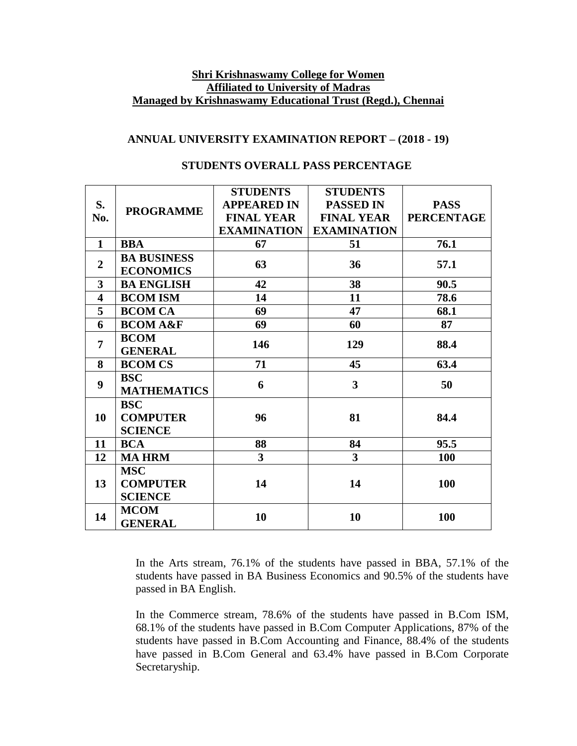# **Shri Krishnaswamy College for Women Affiliated to University of Madras Managed by Krishnaswamy Educational Trust (Regd.), Chennai**

### **ANNUAL UNIVERSITY EXAMINATION REPORT – (2018 - 19)**

| S.                      |                    | <b>STUDENTS</b>    | <b>STUDENTS</b>         |                   |
|-------------------------|--------------------|--------------------|-------------------------|-------------------|
|                         |                    | <b>APPEARED IN</b> | <b>PASSED IN</b>        | <b>PASS</b>       |
| No.                     | <b>PROGRAMME</b>   | <b>FINAL YEAR</b>  | <b>FINAL YEAR</b>       | <b>PERCENTAGE</b> |
|                         |                    | <b>EXAMINATION</b> | <b>EXAMINATION</b>      |                   |
| $\mathbf{1}$            | <b>BBA</b>         | 67                 | 51                      | 76.1              |
| $\overline{2}$          | <b>BA BUSINESS</b> | 63                 | 36                      | 57.1              |
|                         | <b>ECONOMICS</b>   |                    |                         |                   |
| $\overline{\mathbf{3}}$ | <b>BA ENGLISH</b>  | 42                 | 38                      | 90.5              |
| $\overline{\mathbf{4}}$ | <b>BCOM ISM</b>    | 14                 | 11                      | 78.6              |
| 5                       | <b>BCOM CA</b>     | 69                 | 47                      | 68.1              |
| 6                       | <b>BCOMA&amp;F</b> | 69                 | 60                      | 87                |
| $\overline{7}$          | <b>BCOM</b>        | 146                | 129                     | 88.4              |
|                         | <b>GENERAL</b>     |                    |                         |                   |
| 8                       | <b>BCOM CS</b>     | 71                 | 45                      | 63.4              |
| 9                       | <b>BSC</b>         | 6                  | $\overline{\mathbf{3}}$ | 50                |
|                         | <b>MATHEMATICS</b> |                    |                         |                   |
|                         | <b>BSC</b>         |                    |                         |                   |
| 10                      | <b>COMPUTER</b>    | 96                 | 81                      | 84.4              |
|                         | <b>SCIENCE</b>     |                    |                         |                   |
| 11                      | <b>BCA</b>         | 88                 | 84                      | 95.5              |
| 12                      | <b>MA HRM</b>      | $\overline{3}$     | 3 <sup>1</sup>          | <b>100</b>        |
| 13                      | <b>MSC</b>         | 14                 | 14                      | 100               |
|                         | <b>COMPUTER</b>    |                    |                         |                   |
|                         | <b>SCIENCE</b>     |                    |                         |                   |
| 14                      | <b>MCOM</b>        |                    | 10                      | 100               |
|                         | <b>GENERAL</b>     | 10                 |                         |                   |

## **STUDENTS OVERALL PASS PERCENTAGE**

In the Arts stream, 76.1% of the students have passed in BBA, 57.1% of the students have passed in BA Business Economics and 90.5% of the students have passed in BA English.

In the Commerce stream, 78.6% of the students have passed in B.Com ISM, 68.1% of the students have passed in B.Com Computer Applications, 87% of the students have passed in B.Com Accounting and Finance, 88.4% of the students have passed in B.Com General and 63.4% have passed in B.Com Corporate Secretaryship.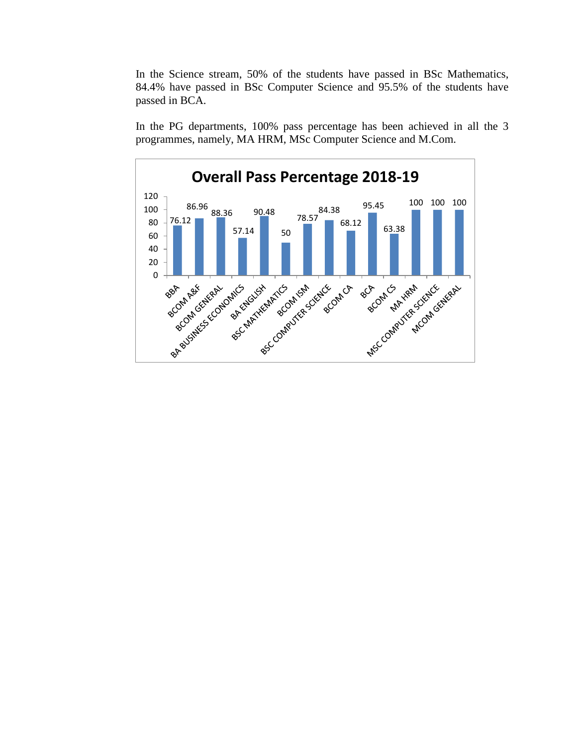In the Science stream, 50% of the students have passed in BSc Mathematics, 84.4% have passed in BSc Computer Science and 95.5% of the students have passed in BCA.

In the PG departments, 100% pass percentage has been achieved in all the 3 programmes, namely, MA HRM, MSc Computer Science and M.Com.

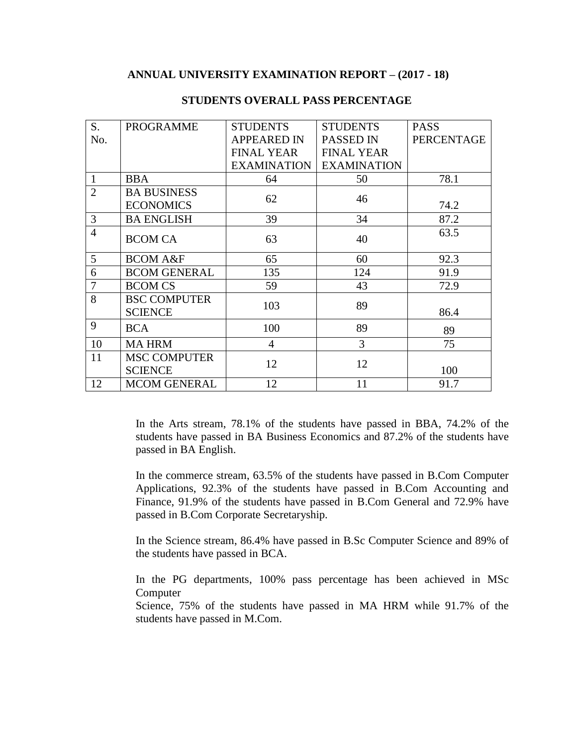#### **ANNUAL UNIVERSITY EXAMINATION REPORT – (2017 - 18)**

| S.             | <b>PROGRAMME</b>                       | <b>STUDENTS</b>    | <b>STUDENTS</b>    | <b>PASS</b>       |
|----------------|----------------------------------------|--------------------|--------------------|-------------------|
| No.            |                                        | <b>APPEARED IN</b> | PASSED IN          | <b>PERCENTAGE</b> |
|                |                                        | <b>FINAL YEAR</b>  | <b>FINAL YEAR</b>  |                   |
|                |                                        | <b>EXAMINATION</b> | <b>EXAMINATION</b> |                   |
| $\mathbf{1}$   | <b>BBA</b>                             | 64                 | 50                 | 78.1              |
| $\overline{2}$ | <b>BA BUSINESS</b><br><b>ECONOMICS</b> | 62                 | 46                 | 74.2              |
| 3              | <b>BA ENGLISH</b>                      | 39                 | 34                 | 87.2              |
| $\overline{4}$ | <b>BCOM CA</b>                         | 63                 | 40                 | 63.5              |
| 5              | <b>BCOM A&amp;F</b>                    | 65                 | 60                 | 92.3              |
| 6              | <b>BCOM GENERAL</b>                    | 135                | 124                | 91.9              |
| 7              | <b>BCOM CS</b>                         | 59                 | 43                 | 72.9              |
| 8              | <b>BSC COMPUTER</b><br><b>SCIENCE</b>  | 103                | 89                 | 86.4              |
| 9              | <b>BCA</b>                             | 100                | 89                 | 89                |
| 10             | <b>MAHRM</b>                           | $\overline{4}$     | 3                  | 75                |
| 11             | <b>MSC COMPUTER</b><br><b>SCIENCE</b>  | 12                 | 12                 | 100               |
| 12             | <b>MCOM GENERAL</b>                    | 12                 | 11                 | 91.7              |

## **STUDENTS OVERALL PASS PERCENTAGE**

In the Arts stream, 78.1% of the students have passed in BBA, 74.2% of the students have passed in BA Business Economics and 87.2% of the students have passed in BA English.

In the commerce stream, 63.5% of the students have passed in B.Com Computer Applications, 92.3% of the students have passed in B.Com Accounting and Finance, 91.9% of the students have passed in B.Com General and 72.9% have passed in B.Com Corporate Secretaryship.

In the Science stream, 86.4% have passed in B.Sc Computer Science and 89% of the students have passed in BCA.

In the PG departments, 100% pass percentage has been achieved in MSc Computer

Science, 75% of the students have passed in MA HRM while 91.7% of the students have passed in M.Com.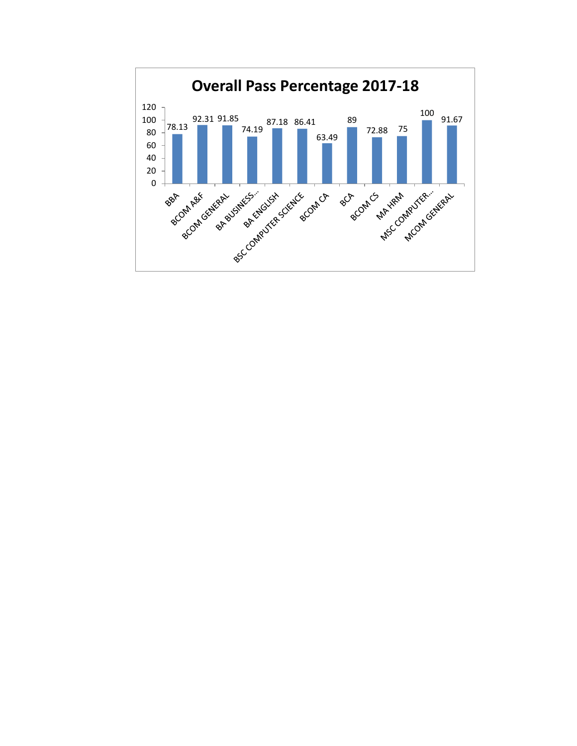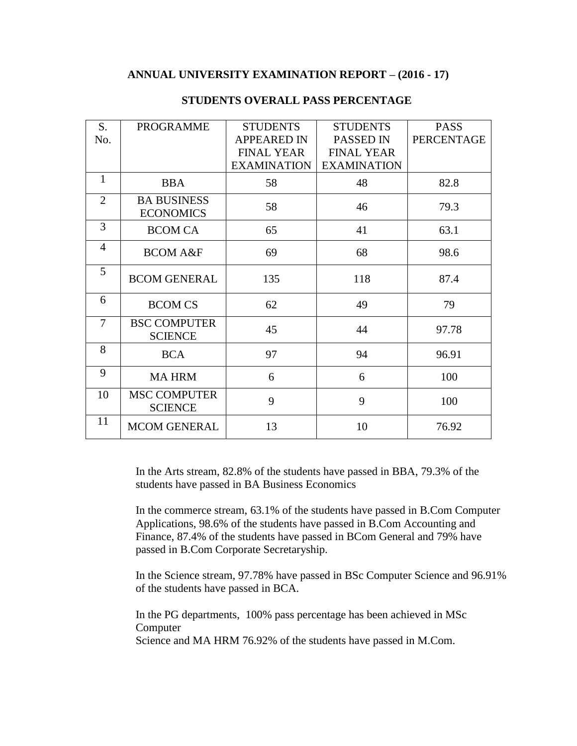### **ANNUAL UNIVERSITY EXAMINATION REPORT – (2016 - 17)**

| S.             | <b>PROGRAMME</b>                       | <b>STUDENTS</b>    | <b>STUDENTS</b>    | <b>PASS</b>       |
|----------------|----------------------------------------|--------------------|--------------------|-------------------|
| No.            |                                        | <b>APPEARED IN</b> | PASSED IN          | <b>PERCENTAGE</b> |
|                |                                        | <b>FINAL YEAR</b>  | <b>FINAL YEAR</b>  |                   |
|                |                                        | <b>EXAMINATION</b> | <b>EXAMINATION</b> |                   |
| $\mathbf{1}$   | <b>BBA</b>                             | 58                 | 48                 | 82.8              |
| $\overline{2}$ | <b>BA BUSINESS</b><br><b>ECONOMICS</b> | 58                 | 46                 | 79.3              |
| 3              | <b>BCOM CA</b>                         | 65                 | 41                 | 63.1              |
| $\overline{4}$ | <b>BCOM A&amp;F</b>                    | 69                 | 68                 | 98.6              |
| 5              | <b>BCOM GENERAL</b>                    | 135                | 118                | 87.4              |
| 6              | <b>BCOM CS</b>                         | 62                 | 49                 | 79                |
| 7              | <b>BSC COMPUTER</b><br><b>SCIENCE</b>  | 45                 | 44                 | 97.78             |
| 8              | <b>BCA</b>                             | 97                 | 94                 | 96.91             |
| 9              | <b>MA HRM</b>                          | 6                  | 6                  | 100               |
| 10             | <b>MSC COMPUTER</b><br><b>SCIENCE</b>  | 9                  | 9                  | 100               |
| 11             | <b>MCOM GENERAL</b>                    | 13                 | 10                 | 76.92             |

# **STUDENTS OVERALL PASS PERCENTAGE**

In the Arts stream, 82.8% of the students have passed in BBA, 79.3% of the students have passed in BA Business Economics

In the commerce stream, 63.1% of the students have passed in B.Com Computer Applications, 98.6% of the students have passed in B.Com Accounting and Finance, 87.4% of the students have passed in BCom General and 79% have passed in B.Com Corporate Secretaryship.

In the Science stream, 97.78% have passed in BSc Computer Science and 96.91% of the students have passed in BCA.

In the PG departments, 100% pass percentage has been achieved in MSc Computer Science and MA HRM 76.92% of the students have passed in M.Com.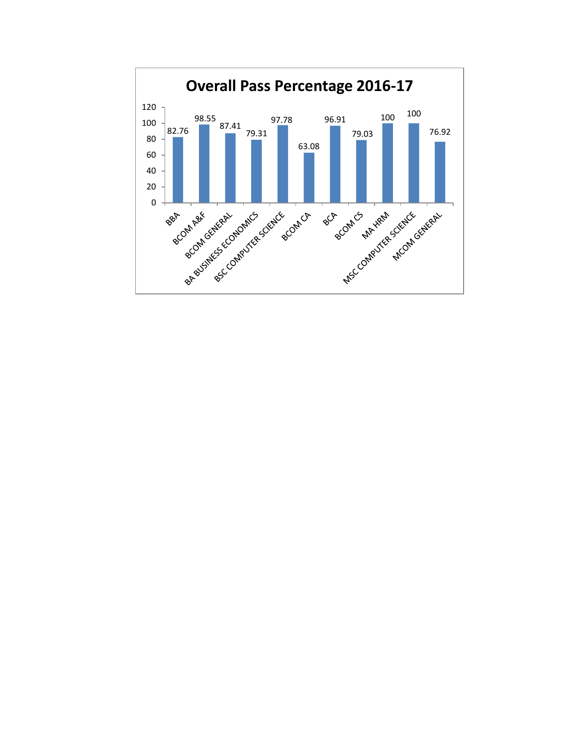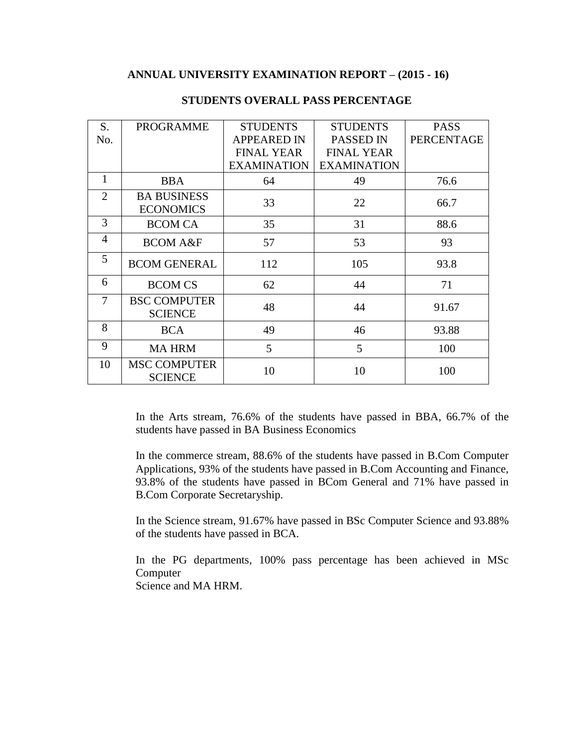#### **ANNUAL UNIVERSITY EXAMINATION REPORT – (2015 - 16)**

| S.             | <b>PROGRAMME</b>                       | <b>STUDENTS</b>    | <b>STUDENTS</b>    | <b>PASS</b>       |
|----------------|----------------------------------------|--------------------|--------------------|-------------------|
| No.            |                                        | <b>APPEARED IN</b> | <b>PASSED IN</b>   | <b>PERCENTAGE</b> |
|                |                                        | <b>FINAL YEAR</b>  | <b>FINAL YEAR</b>  |                   |
|                |                                        | <b>EXAMINATION</b> | <b>EXAMINATION</b> |                   |
| 1              | <b>BBA</b>                             | 64                 | 49                 | 76.6              |
| $\overline{2}$ | <b>BA BUSINESS</b><br><b>ECONOMICS</b> | 33                 | 22                 | 66.7              |
| 3              | <b>BCOM CA</b>                         | 35                 | 31                 | 88.6              |
| 4              | <b>BCOM A&amp;F</b>                    | 57                 | 53                 | 93                |
| 5              | <b>BCOM GENERAL</b>                    | 112                | 105                | 93.8              |
| 6              | <b>BCOM CS</b>                         | 62                 | 44                 | 71                |
| 7              | <b>BSC COMPUTER</b><br><b>SCIENCE</b>  | 48                 | 44                 | 91.67             |
| 8              | <b>BCA</b>                             | 49                 | 46                 | 93.88             |
| 9              | <b>MA HRM</b>                          | 5                  | 5                  | 100               |
| 10             | <b>MSC COMPUTER</b><br><b>SCIENCE</b>  | 10                 | 10                 | 100               |

## **STUDENTS OVERALL PASS PERCENTAGE**

In the Arts stream, 76.6% of the students have passed in BBA, 66.7% of the students have passed in BA Business Economics

In the commerce stream, 88.6% of the students have passed in B.Com Computer Applications, 93% of the students have passed in B.Com Accounting and Finance, 93.8% of the students have passed in BCom General and 71% have passed in B.Com Corporate Secretaryship.

In the Science stream, 91.67% have passed in BSc Computer Science and 93.88% of the students have passed in BCA.

In the PG departments, 100% pass percentage has been achieved in MSc Computer Science and MA HRM.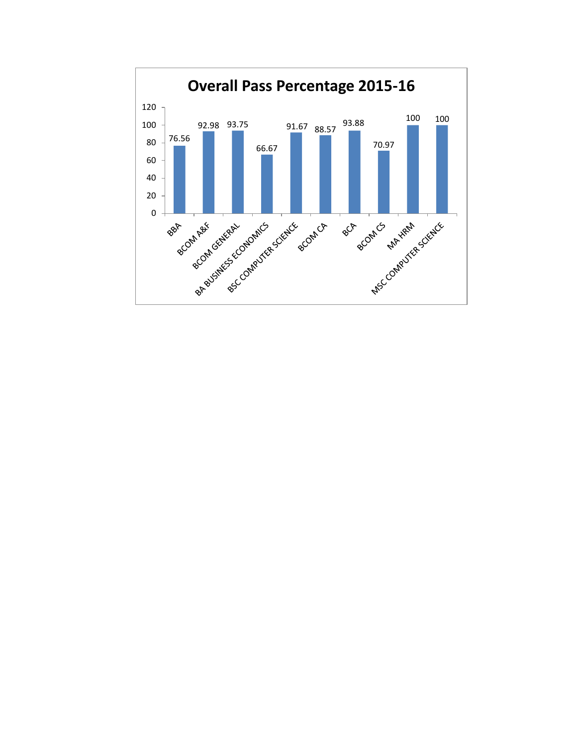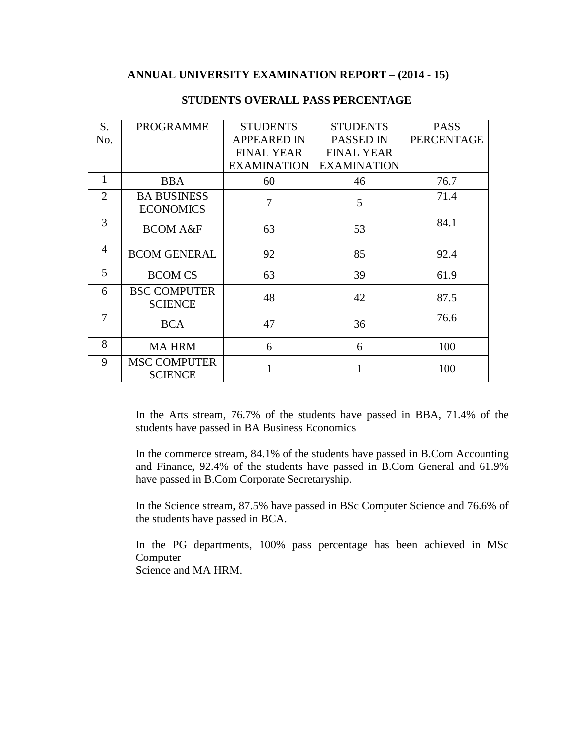## **ANNUAL UNIVERSITY EXAMINATION REPORT – (2014 - 15)**

| S.             | <b>PROGRAMME</b>    | <b>STUDENTS</b>    | <b>STUDENTS</b>    | <b>PASS</b>       |
|----------------|---------------------|--------------------|--------------------|-------------------|
| No.            |                     | <b>APPEARED IN</b> | <b>PASSED IN</b>   | <b>PERCENTAGE</b> |
|                |                     | <b>FINAL YEAR</b>  | <b>FINAL YEAR</b>  |                   |
|                |                     | <b>EXAMINATION</b> | <b>EXAMINATION</b> |                   |
| 1              | <b>BBA</b>          | 60                 | 46                 | 76.7              |
| $\overline{2}$ | <b>BA BUSINESS</b>  | 7                  | 5                  | 71.4              |
|                | <b>ECONOMICS</b>    |                    |                    |                   |
| 3              | <b>BCOM A&amp;F</b> | 63                 | 53                 | 84.1              |
|                |                     |                    |                    |                   |
| $\overline{4}$ | <b>BCOM GENERAL</b> | 92                 | 85                 | 92.4              |
|                |                     |                    |                    |                   |
| 5              | <b>BCOM CS</b>      | 63                 | 39                 | 61.9              |
| 6              | <b>BSC COMPUTER</b> | 48                 | 42                 | 87.5              |
|                | <b>SCIENCE</b>      |                    |                    |                   |
| 7              | <b>BCA</b>          | 47                 | 36                 | 76.6              |
|                |                     |                    |                    |                   |
| 8              | <b>MA HRM</b>       | 6                  | 6                  | 100               |
| 9              | <b>MSC COMPUTER</b> |                    | 1                  |                   |
|                | <b>SCIENCE</b>      |                    |                    | 100               |

## **STUDENTS OVERALL PASS PERCENTAGE**

In the Arts stream, 76.7% of the students have passed in BBA, 71.4% of the students have passed in BA Business Economics

In the commerce stream, 84.1% of the students have passed in B.Com Accounting and Finance, 92.4% of the students have passed in B.Com General and 61.9% have passed in B.Com Corporate Secretaryship.

In the Science stream, 87.5% have passed in BSc Computer Science and 76.6% of the students have passed in BCA.

In the PG departments, 100% pass percentage has been achieved in MSc Computer

Science and MA HRM.